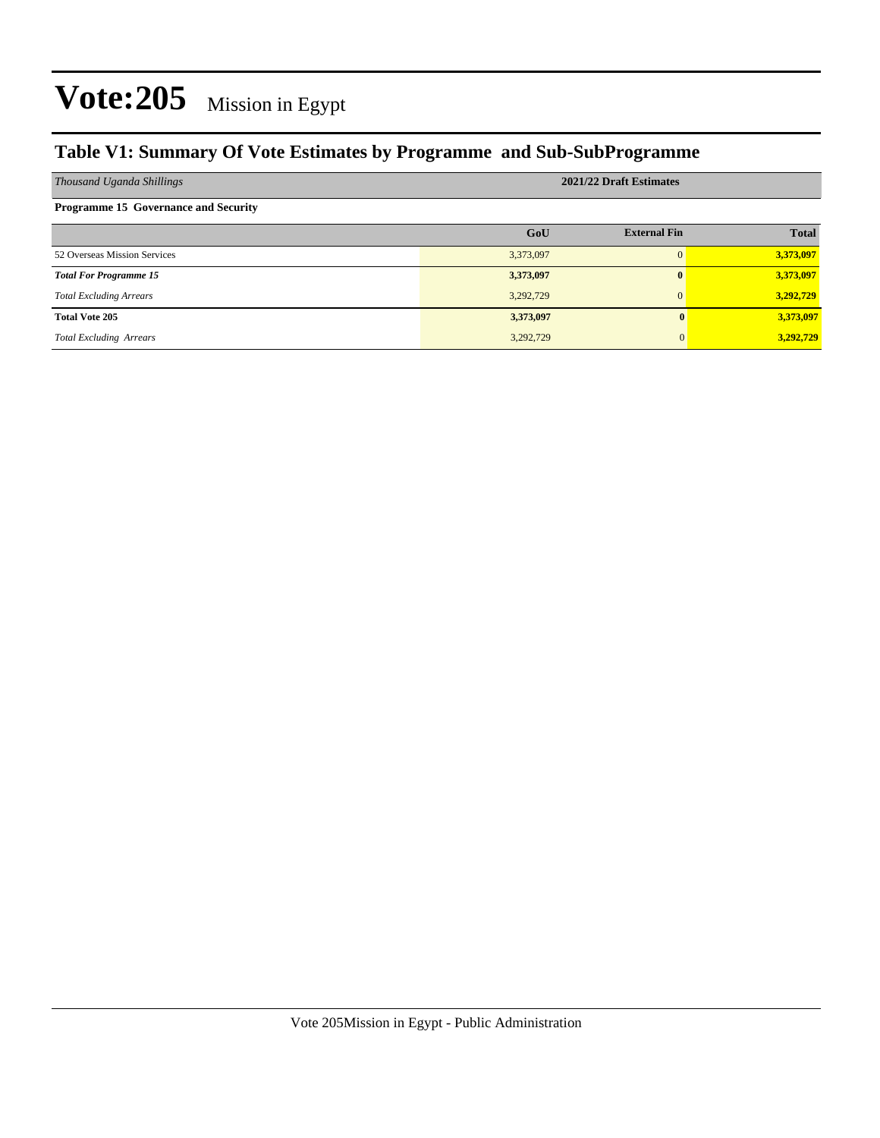### **Table V1: Summary Of Vote Estimates by Programme and Sub-SubProgramme**

| Thousand Uganda Shillings                   | 2021/22 Draft Estimates |                     |              |  |  |  |  |
|---------------------------------------------|-------------------------|---------------------|--------------|--|--|--|--|
| <b>Programme 15 Governance and Security</b> |                         |                     |              |  |  |  |  |
|                                             | GoU                     | <b>External Fin</b> | <b>Total</b> |  |  |  |  |
| 52 Overseas Mission Services                | 3,373,097               | $\Omega$            | 3,373,097    |  |  |  |  |
| <b>Total For Programme 15</b>               | 3,373,097               | $\mathbf{0}$        | 3,373,097    |  |  |  |  |
| <b>Total Excluding Arrears</b>              | 3,292,729               | $\Omega$            | 3.292.729    |  |  |  |  |
| <b>Total Vote 205</b>                       | 3,373,097               |                     | 3,373,097    |  |  |  |  |
| <b>Total Excluding Arrears</b>              | 3,292,729               |                     | 3,292,729    |  |  |  |  |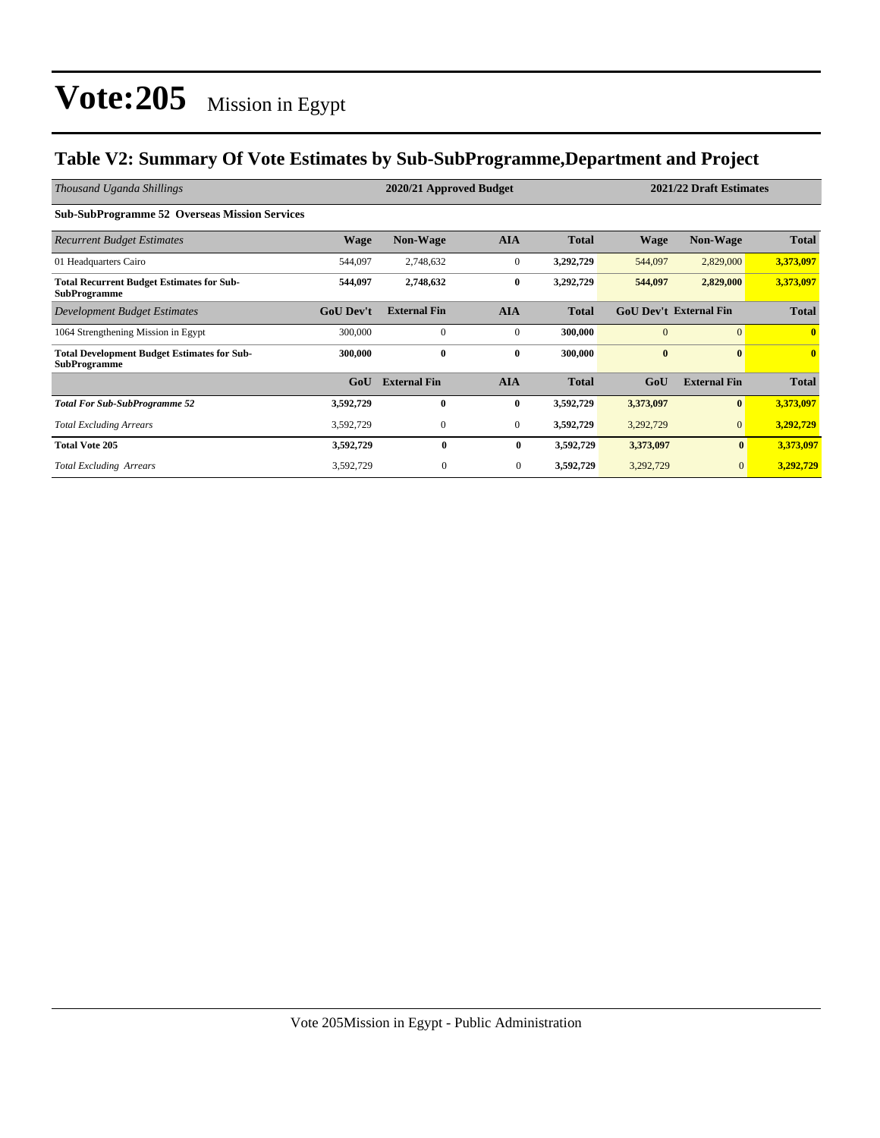#### **Table V2: Summary Of Vote Estimates by Sub-SubProgramme,Department and Project**

| Thousand Uganda Shillings                                                 |                  | 2020/21 Approved Budget |                |              | 2021/22 Draft Estimates |                               |              |
|---------------------------------------------------------------------------|------------------|-------------------------|----------------|--------------|-------------------------|-------------------------------|--------------|
| <b>Sub-SubProgramme 52 Overseas Mission Services</b>                      |                  |                         |                |              |                         |                               |              |
| <b>Recurrent Budget Estimates</b>                                         | <b>Wage</b>      | Non-Wage                | <b>AIA</b>     | <b>Total</b> | <b>Wage</b>             | Non-Wage                      | <b>Total</b> |
| 01 Headquarters Cairo                                                     | 544,097          | 2,748,632               | $\mathbf{0}$   | 3,292,729    | 544,097                 | 2,829,000                     | 3,373,097    |
| <b>Total Recurrent Budget Estimates for Sub-</b><br><b>SubProgramme</b>   | 544,097          | 2,748,632               | $\bf{0}$       | 3,292,729    | 544,097                 | 2,829,000                     | 3,373,097    |
| Development Budget Estimates                                              | <b>GoU Dev't</b> | <b>External Fin</b>     | <b>AIA</b>     | <b>Total</b> |                         | <b>GoU Dev't External Fin</b> | <b>Total</b> |
| 1064 Strengthening Mission in Egypt                                       | 300,000          | $\Omega$                | $\mathbf{0}$   | 300,000      | $\Omega$                | $\Omega$                      | $\mathbf{0}$ |
| <b>Total Development Budget Estimates for Sub-</b><br><b>SubProgramme</b> | 300,000          | $\bf{0}$                | $\bf{0}$       | 300,000      | $\bf{0}$                | $\mathbf{0}$                  | $\bf{0}$     |
|                                                                           | GoU              | <b>External Fin</b>     | <b>AIA</b>     | <b>Total</b> | GoU                     | <b>External Fin</b>           | <b>Total</b> |
| <b>Total For Sub-SubProgramme 52</b>                                      | 3,592,729        | $\mathbf{0}$            | $\bf{0}$       | 3,592,729    | 3,373,097               | $\mathbf{0}$                  | 3,373,097    |
| <b>Total Excluding Arrears</b>                                            | 3,592,729        | $\mathbf{0}$            | $\overline{0}$ | 3,592,729    | 3,292,729               | $\mathbf{0}$                  | 3,292,729    |
| <b>Total Vote 205</b>                                                     | 3,592,729        | $\bf{0}$                | $\bf{0}$       | 3,592,729    | 3,373,097               | $\bf{0}$                      | 3,373,097    |
| <b>Total Excluding Arrears</b>                                            | 3,592,729        | $\mathbf{0}$            | $\mathbf{0}$   | 3,592,729    | 3,292,729               | $\mathbf{0}$                  | 3,292,729    |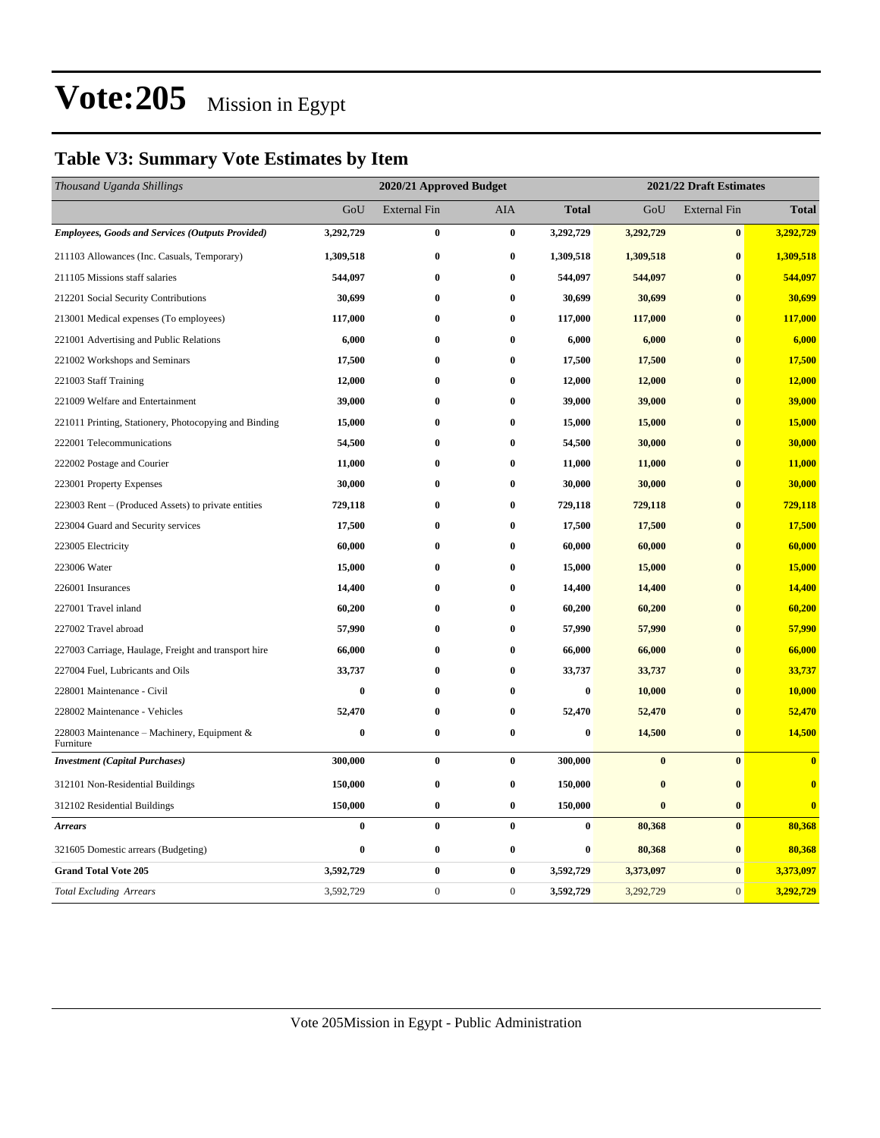### **Table V3: Summary Vote Estimates by Item**

| Thousand Uganda Shillings                                |           | 2020/21 Approved Budget |                  |              |           | 2021/22 Draft Estimates |              |  |  |
|----------------------------------------------------------|-----------|-------------------------|------------------|--------------|-----------|-------------------------|--------------|--|--|
|                                                          | GoU       | <b>External Fin</b>     | <b>AIA</b>       | <b>Total</b> | GoU       | <b>External Fin</b>     | <b>Total</b> |  |  |
| <b>Employees, Goods and Services (Outputs Provided)</b>  | 3,292,729 | $\bf{0}$                | $\bf{0}$         | 3,292,729    | 3,292,729 | $\pmb{0}$               | 3,292,729    |  |  |
| 211103 Allowances (Inc. Casuals, Temporary)              | 1,309,518 | $\bf{0}$                | $\bf{0}$         | 1,309,518    | 1,309,518 | $\bf{0}$                | 1,309,518    |  |  |
| 211105 Missions staff salaries                           | 544,097   | $\bf{0}$                | $\bf{0}$         | 544,097      | 544,097   | $\bf{0}$                | 544,097      |  |  |
| 212201 Social Security Contributions                     | 30,699    | $\bf{0}$                | $\bf{0}$         | 30,699       | 30,699    | $\bf{0}$                | 30,699       |  |  |
| 213001 Medical expenses (To employees)                   | 117,000   | $\bf{0}$                | $\bf{0}$         | 117,000      | 117,000   | $\bf{0}$                | 117,000      |  |  |
| 221001 Advertising and Public Relations                  | 6,000     | $\bf{0}$                | $\bf{0}$         | 6,000        | 6,000     | $\bf{0}$                | 6,000        |  |  |
| 221002 Workshops and Seminars                            | 17,500    | $\bf{0}$                | $\bf{0}$         | 17,500       | 17,500    | $\mathbf{0}$            | 17,500       |  |  |
| 221003 Staff Training                                    | 12,000    | 0                       | $\bf{0}$         | 12,000       | 12,000    | $\bf{0}$                | 12,000       |  |  |
| 221009 Welfare and Entertainment                         | 39,000    | $\bf{0}$                | $\bf{0}$         | 39,000       | 39,000    | $\mathbf{0}$            | 39,000       |  |  |
| 221011 Printing, Stationery, Photocopying and Binding    | 15,000    | 0                       | $\bf{0}$         | 15,000       | 15,000    | $\bf{0}$                | 15,000       |  |  |
| 222001 Telecommunications                                | 54,500    | $\bf{0}$                | $\bf{0}$         | 54,500       | 30,000    | $\bf{0}$                | 30,000       |  |  |
| 222002 Postage and Courier                               | 11,000    | 0                       | $\bf{0}$         | 11,000       | 11,000    | $\bf{0}$                | 11,000       |  |  |
| 223001 Property Expenses                                 | 30,000    | $\bf{0}$                | $\bf{0}$         | 30,000       | 30,000    | $\bf{0}$                | 30,000       |  |  |
| 223003 Rent - (Produced Assets) to private entities      | 729,118   | $\bf{0}$                | 0                | 729,118      | 729,118   | $\bf{0}$                | 729,118      |  |  |
| 223004 Guard and Security services                       | 17,500    | $\bf{0}$                | $\bf{0}$         | 17,500       | 17,500    | $\bf{0}$                | 17,500       |  |  |
| 223005 Electricity                                       | 60,000    | $\bf{0}$                | $\bf{0}$         | 60,000       | 60,000    | $\bf{0}$                | 60,000       |  |  |
| 223006 Water                                             | 15,000    | $\bf{0}$                | $\bf{0}$         | 15,000       | 15,000    | $\bf{0}$                | 15,000       |  |  |
| 226001 Insurances                                        | 14,400    | $\bf{0}$                | $\bf{0}$         | 14,400       | 14,400    | $\bf{0}$                | 14,400       |  |  |
| 227001 Travel inland                                     | 60,200    | $\bf{0}$                | $\bf{0}$         | 60,200       | 60,200    | $\mathbf{0}$            | 60,200       |  |  |
| 227002 Travel abroad                                     | 57,990    | $\bf{0}$                | $\bf{0}$         | 57,990       | 57,990    | $\bf{0}$                | 57,990       |  |  |
| 227003 Carriage, Haulage, Freight and transport hire     | 66,000    | $\bf{0}$                | $\bf{0}$         | 66,000       | 66,000    | $\bf{0}$                | 66,000       |  |  |
| 227004 Fuel, Lubricants and Oils                         | 33,737    | 0                       | $\bf{0}$         | 33,737       | 33,737    | $\bf{0}$                | 33,737       |  |  |
| 228001 Maintenance - Civil                               | $\bf{0}$  | $\bf{0}$                | $\bf{0}$         | $\bf{0}$     | 10,000    | $\mathbf{0}$            | 10,000       |  |  |
| 228002 Maintenance - Vehicles                            | 52,470    | $\bf{0}$                | $\bf{0}$         | 52,470       | 52,470    | $\bf{0}$                | 52,470       |  |  |
| 228003 Maintenance - Machinery, Equipment &<br>Furniture | $\bf{0}$  | $\bf{0}$                | $\bf{0}$         | $\bf{0}$     | 14,500    | $\bf{0}$                | 14,500       |  |  |
| <b>Investment</b> (Capital Purchases)                    | 300,000   | $\bf{0}$                | $\bf{0}$         | 300,000      | $\bf{0}$  | $\bf{0}$                | $\bf{0}$     |  |  |
| 312101 Non-Residential Buildings                         | 150,000   | $\bf{0}$                | $\bf{0}$         | 150,000      | $\bf{0}$  | $\bf{0}$                | $\bf{0}$     |  |  |
| 312102 Residential Buildings                             | 150,000   | $\bf{0}$                | $\boldsymbol{0}$ | 150,000      | $\bf{0}$  | $\bf{0}$                | $\bf{0}$     |  |  |
| <b>Arrears</b>                                           | $\bf{0}$  | $\bf{0}$                | $\bf{0}$         | $\bf{0}$     | 80,368    | $\bf{0}$                | 80,368       |  |  |
| 321605 Domestic arrears (Budgeting)                      | $\bf{0}$  | $\bf{0}$                | $\bf{0}$         | 0            | 80,368    | $\bf{0}$                | 80,368       |  |  |
| <b>Grand Total Vote 205</b>                              | 3,592,729 | $\boldsymbol{0}$        | $\bf{0}$         | 3,592,729    | 3,373,097 | $\bf{0}$                | 3,373,097    |  |  |
| <b>Total Excluding Arrears</b>                           | 3,592,729 | $\boldsymbol{0}$        | $\boldsymbol{0}$ | 3,592,729    | 3,292,729 | $\mathbf{0}$            | 3,292,729    |  |  |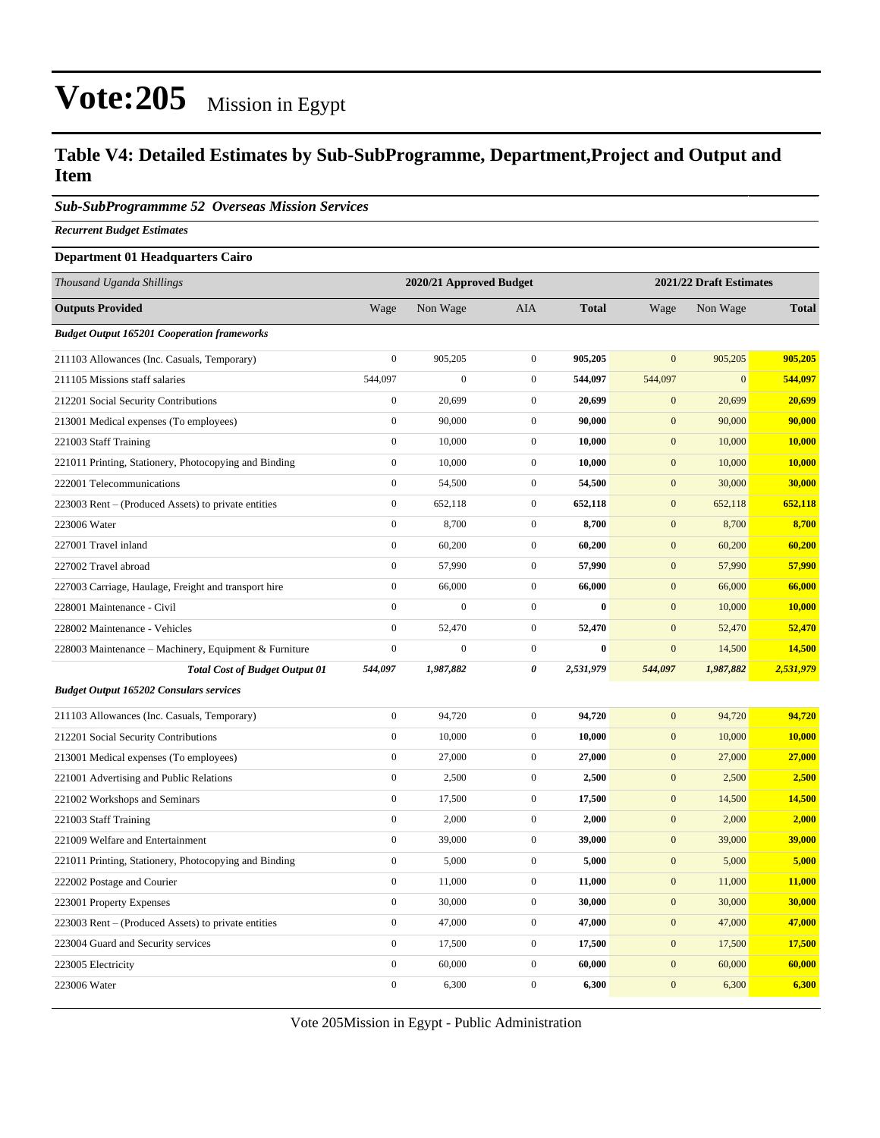#### **Table V4: Detailed Estimates by Sub-SubProgramme, Department,Project and Output and Item**

*Sub-SubProgrammme 52 Overseas Mission Services*

*Recurrent Budget Estimates*

#### **Department 01 Headquarters Cairo**

| Thousand Uganda Shillings                             |                  | 2020/21 Approved Budget |                  | 2021/22 Draft Estimates |                  |              |              |
|-------------------------------------------------------|------------------|-------------------------|------------------|-------------------------|------------------|--------------|--------------|
| <b>Outputs Provided</b>                               | Wage             | Non Wage                | <b>AIA</b>       | <b>Total</b>            | Wage             | Non Wage     | <b>Total</b> |
| <b>Budget Output 165201 Cooperation frameworks</b>    |                  |                         |                  |                         |                  |              |              |
| 211103 Allowances (Inc. Casuals, Temporary)           | $\overline{0}$   | 905,205                 | $\overline{0}$   | 905,205                 | $\mathbf{0}$     | 905,205      | 905,205      |
| 211105 Missions staff salaries                        | 544,097          | $\boldsymbol{0}$        | $\boldsymbol{0}$ | 544,097                 | 544,097          | $\mathbf{0}$ | 544,097      |
| 212201 Social Security Contributions                  | $\overline{0}$   | 20,699                  | $\boldsymbol{0}$ | 20,699                  | $\mathbf{0}$     | 20,699       | 20,699       |
| 213001 Medical expenses (To employees)                | $\boldsymbol{0}$ | 90,000                  | $\boldsymbol{0}$ | 90,000                  | $\mathbf{0}$     | 90,000       | 90,000       |
| 221003 Staff Training                                 | $\mathbf{0}$     | 10,000                  | $\boldsymbol{0}$ | 10,000                  | $\mathbf{0}$     | 10,000       | 10,000       |
| 221011 Printing, Stationery, Photocopying and Binding | $\boldsymbol{0}$ | 10,000                  | $\boldsymbol{0}$ | 10,000                  | $\mathbf{0}$     | 10,000       | 10,000       |
| 222001 Telecommunications                             | $\boldsymbol{0}$ | 54,500                  | $\boldsymbol{0}$ | 54,500                  | $\mathbf{0}$     | 30,000       | 30,000       |
| 223003 Rent – (Produced Assets) to private entities   | $\boldsymbol{0}$ | 652,118                 | $\boldsymbol{0}$ | 652,118                 | $\boldsymbol{0}$ | 652,118      | 652,118      |
| 223006 Water                                          | $\boldsymbol{0}$ | 8,700                   | $\boldsymbol{0}$ | 8,700                   | $\mathbf{0}$     | 8,700        | 8,700        |
| 227001 Travel inland                                  | $\boldsymbol{0}$ | 60,200                  | $\boldsymbol{0}$ | 60,200                  | $\mathbf{0}$     | 60,200       | 60,200       |
| 227002 Travel abroad                                  | $\boldsymbol{0}$ | 57,990                  | $\boldsymbol{0}$ | 57,990                  | $\mathbf{0}$     | 57,990       | 57,990       |
| 227003 Carriage, Haulage, Freight and transport hire  | $\boldsymbol{0}$ | 66,000                  | $\boldsymbol{0}$ | 66,000                  | $\mathbf{0}$     | 66,000       | 66,000       |
| 228001 Maintenance - Civil                            | $\boldsymbol{0}$ | $\mathbf{0}$            | $\boldsymbol{0}$ | $\bf{0}$                | $\mathbf{0}$     | 10,000       | 10,000       |
| 228002 Maintenance - Vehicles                         | $\boldsymbol{0}$ | 52,470                  | $\boldsymbol{0}$ | 52,470                  | $\mathbf{0}$     | 52,470       | 52,470       |
| 228003 Maintenance – Machinery, Equipment & Furniture | $\boldsymbol{0}$ | $\boldsymbol{0}$        | $\boldsymbol{0}$ | $\bf{0}$                | $\mathbf{0}$     | 14,500       | 14,500       |
| <b>Total Cost of Budget Output 01</b>                 | 544,097          | 1,987,882               | 0                | 2,531,979               | 544,097          | 1,987,882    | 2,531,979    |
| <b>Budget Output 165202 Consulars services</b>        |                  |                         |                  |                         |                  |              |              |
| 211103 Allowances (Inc. Casuals, Temporary)           | $\boldsymbol{0}$ | 94,720                  | $\boldsymbol{0}$ | 94,720                  | $\mathbf{0}$     | 94,720       | 94,720       |
| 212201 Social Security Contributions                  | $\boldsymbol{0}$ | 10,000                  | $\boldsymbol{0}$ | 10,000                  | $\mathbf{0}$     | 10,000       | 10,000       |
| 213001 Medical expenses (To employees)                | $\boldsymbol{0}$ | 27,000                  | $\boldsymbol{0}$ | 27,000                  | $\mathbf{0}$     | 27,000       | 27,000       |
| 221001 Advertising and Public Relations               | $\boldsymbol{0}$ | 2,500                   | $\boldsymbol{0}$ | 2,500                   | $\mathbf{0}$     | 2,500        | 2,500        |
| 221002 Workshops and Seminars                         | $\boldsymbol{0}$ | 17,500                  | $\boldsymbol{0}$ | 17,500                  | $\boldsymbol{0}$ | 14,500       | 14,500       |
| 221003 Staff Training                                 | $\boldsymbol{0}$ | 2,000                   | $\boldsymbol{0}$ | 2,000                   | $\mathbf{0}$     | 2,000        | 2,000        |
| 221009 Welfare and Entertainment                      | $\boldsymbol{0}$ | 39,000                  | $\boldsymbol{0}$ | 39,000                  | $\mathbf{0}$     | 39,000       | 39,000       |
| 221011 Printing, Stationery, Photocopying and Binding | $\boldsymbol{0}$ | 5,000                   | $\mathbf{0}$     | 5,000                   | $\mathbf{0}$     | 5,000        | 5,000        |
| 222002 Postage and Courier                            | $\boldsymbol{0}$ | 11,000                  | $\boldsymbol{0}$ | 11,000                  | $\mathbf{0}$     | 11,000       | 11,000       |
| 223001 Property Expenses                              | $\boldsymbol{0}$ | 30,000                  | $\boldsymbol{0}$ | 30,000                  | $\mathbf{0}$     | 30,000       | 30,000       |
| 223003 Rent – (Produced Assets) to private entities   | $\boldsymbol{0}$ | 47,000                  | $\boldsymbol{0}$ | 47,000                  | $\mathbf{0}$     | 47,000       | 47,000       |
| 223004 Guard and Security services                    | $\boldsymbol{0}$ | 17,500                  | $\boldsymbol{0}$ | 17,500                  | $\mathbf{0}$     | 17,500       | 17,500       |
| 223005 Electricity                                    | $\boldsymbol{0}$ | 60,000                  | $\boldsymbol{0}$ | 60,000                  | $\mathbf{0}$     | 60,000       | 60,000       |
| 223006 Water                                          | $\boldsymbol{0}$ | 6,300                   | $\boldsymbol{0}$ | 6,300                   | $\mathbf{0}$     | 6,300        | 6,300        |

Vote 205Mission in Egypt - Public Administration